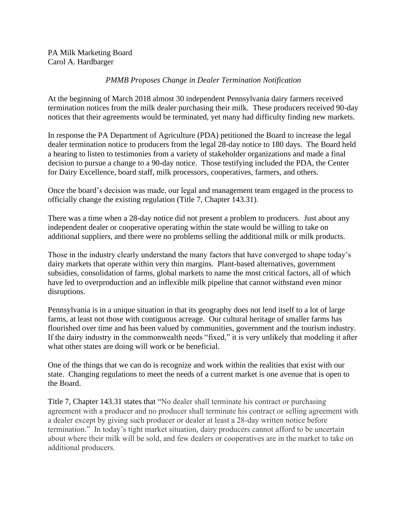## *PMMB Proposes Change in Dealer Termination Notification*

At the beginning of March 2018 almost 30 independent Pennsylvania dairy farmers received termination notices from the milk dealer purchasing their milk. These producers received 90-day notices that their agreements would be terminated, yet many had difficulty finding new markets.

In response the PA Department of Agriculture (PDA) petitioned the Board to increase the legal dealer termination notice to producers from the legal 28-day notice to 180 days. The Board held a hearing to listen to testimonies from a variety of stakeholder organizations and made a final decision to pursue a change to a 90-day notice. Those testifying included the PDA, the Center for Dairy Excellence, board staff, milk processors, cooperatives, farmers, and others.

Once the board's decision was made, our legal and management team engaged in the process to officially change the existing regulation (Title 7, Chapter 143.31).

There was a time when a 28-day notice did not present a problem to producers. Just about any independent dealer or cooperative operating within the state would be willing to take on additional suppliers, and there were no problems selling the additional milk or milk products.

Those in the industry clearly understand the many factors that have converged to shape today's dairy markets that operate within very thin margins. Plant-based alternatives, government subsidies, consolidation of farms, global markets to name the most critical factors, all of which have led to overproduction and an inflexible milk pipeline that cannot withstand even minor disruptions.

Pennsylvania is in a unique situation in that its geography does not lend itself to a lot of large farms, at least not those with contiguous acreage. Our cultural heritage of smaller farms has flourished over time and has been valued by communities, government and the tourism industry. If the dairy industry in the commonwealth needs "fixed," it is very unlikely that modeling it after what other states are doing will work or be beneficial.

One of the things that we can do is recognize and work within the realities that exist with our state. Changing regulations to meet the needs of a current market is one avenue that is open to the Board.

Title 7, Chapter 143.31 states that "No dealer shall terminate his contract or purchasing agreement with a producer and no producer shall terminate his contract or selling agreement with a dealer except by giving such producer or dealer at least a 28-day written notice before termination." In today's tight market situation, dairy producers cannot afford to be uncertain about where their milk will be sold, and few dealers or cooperatives are in the market to take on additional producers.